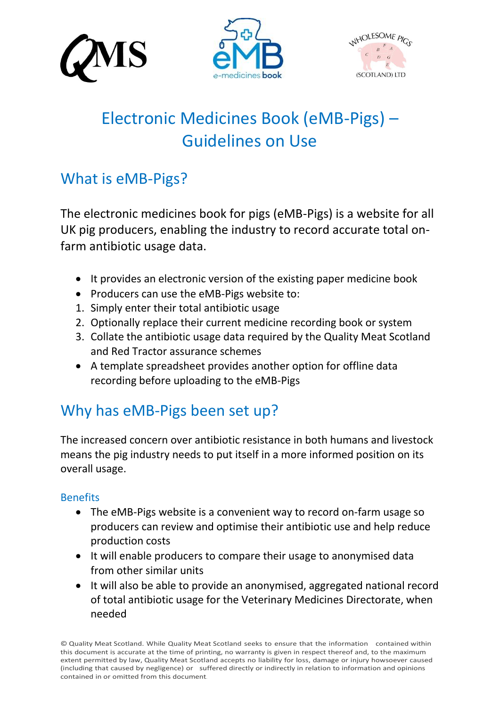





# Electronic Medicines Book (eMB-Pigs) – Guidelines on Use

## What is eMB-Pigs?

The electronic medicines book for pigs (eMB-Pigs) is a website for all UK pig producers, enabling the industry to record accurate total onfarm antibiotic usage data.

- It provides an electronic version of the existing paper medicine book
- Producers can use the eMB-Pigs website to:
- 1. Simply enter their total antibiotic usage
- 2. Optionally replace their current medicine recording book or system
- 3. Collate the antibiotic usage data required by the Quality Meat Scotland and Red Tractor assurance schemes
- A template spreadsheet provides another option for offline data recording before uploading to the eMB-Pigs

# Why has eMB-Pigs been set up?

The increased concern over antibiotic resistance in both humans and livestock means the pig industry needs to put itself in a more informed position on its overall usage.

## **Benefits**

- The eMB-Pigs website is a convenient way to record on-farm usage so producers can review and optimise their antibiotic use and help reduce production costs
- It will enable producers to compare their usage to anonymised data from other similar units
- It will also be able to provide an anonymised, aggregated national record of total antibiotic usage for the Veterinary Medicines Directorate, when needed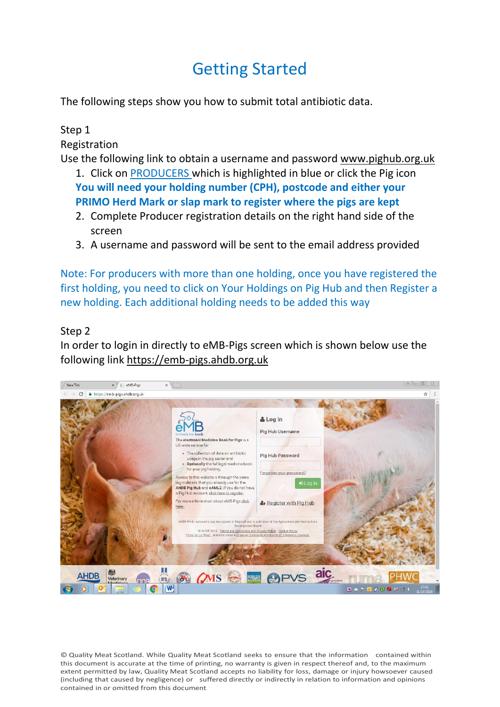# Getting Started

The following steps show you how to submit total antibiotic data.

## Step 1

Registration

Use the following link to obtain a username and password [www.pighub.org.uk](http://www.pighub.org.uk/)

- 1. Click on PRODUCERS which is highlighted in blue or click the Pig icon **You will need your holding number (CPH), postcode and either your PRIMO Herd Mark or slap mark to register where the pigs are kept**
- 2. Complete Producer registration details on the right hand side of the screen
- 3. A username and password will be sent to the email address provided

Note: For producers with more than one holding, once you have registered the first holding, you need to click on Your Holdings on Pig Hub and then Register a new holding. Each additional holding needs to be added this way

### Step 2

In order to login in directly to eMB-Pigs screen which is shown below use the following link [https://emb-pigs.ahdb.org.uk](https://emb-pigs.ahdb.org.uk/)

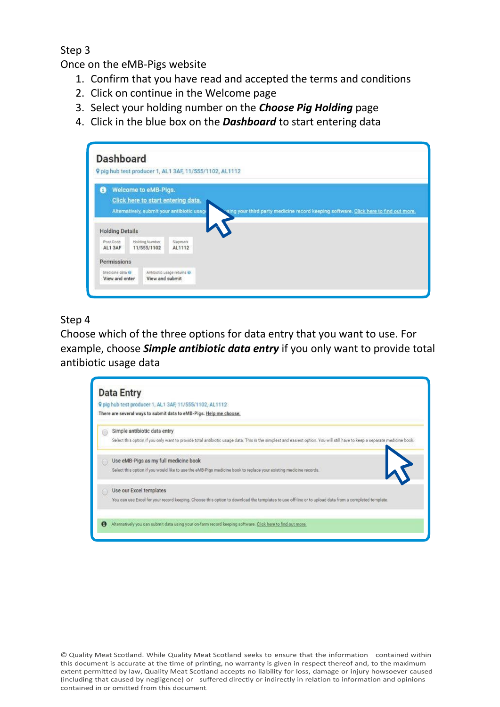Step 3

Once on the eMB-Pigs website

- 1. Confirm that you have read and accepted the terms and conditions
- 2. Click on continue in the Welcome page
- 3. Select your holding number on the *Choose Pig Holding* page
- 4. Click in the blue box on the *Dashboard* to start entering data

|                        | <b>Dashboard</b>                                           | 9 pig hub test producer 1, AL1 3AF, 11/555/1102, AL1112 |                                                                                      |
|------------------------|------------------------------------------------------------|---------------------------------------------------------|--------------------------------------------------------------------------------------|
| 0                      | Welcome to eMB-Pigs.<br>Click here to start entering data. | Alternatively, submit your antibiotic usage             | sing your third party medicine record keeping software. Click here to find out more. |
|                        |                                                            |                                                         |                                                                                      |
| <b>Holding Details</b> |                                                            |                                                         |                                                                                      |
|                        | Holding Number<br>Post Code<br>AL1 3AF<br>11/555/1102      |                                                         |                                                                                      |
|                        |                                                            | Slagmark<br>AL1112                                      |                                                                                      |
| Permissions            |                                                            |                                                         |                                                                                      |

### Step 4

Choose which of the three options for data entry that you want to use. For example, choose *Simple antibiotic data entry* if you only want to provide total antibiotic usage data

|           | 9 pig hub test producer 1, AL1 3AF, 11/555/1102, AL1112<br>There are several ways to submit data to eMB-Pigs. Help me choose.                                              |
|-----------|----------------------------------------------------------------------------------------------------------------------------------------------------------------------------|
|           | Simple antibiotic data entry                                                                                                                                               |
|           | Select this option if you only want to provide total antibiotic usage data. This is the simplest and easiest option. You will still have to keep a separate medicine book. |
|           | $\mathsf{I}$<br>Use eMB-Pigs as my full medicine book                                                                                                                      |
|           | Select this option if you would like to use the eMB-Pigs medicine book to replace your existing medicine records.                                                          |
|           | Use our Excel templates                                                                                                                                                    |
|           | You can use Excel for your record keeping. Choose this option to download the templates to use off-line or to upload data from a completed template.                       |
| $\bullet$ | Alternatively you can submit data using your on-farm record keeping software. Click here to find out more,                                                                 |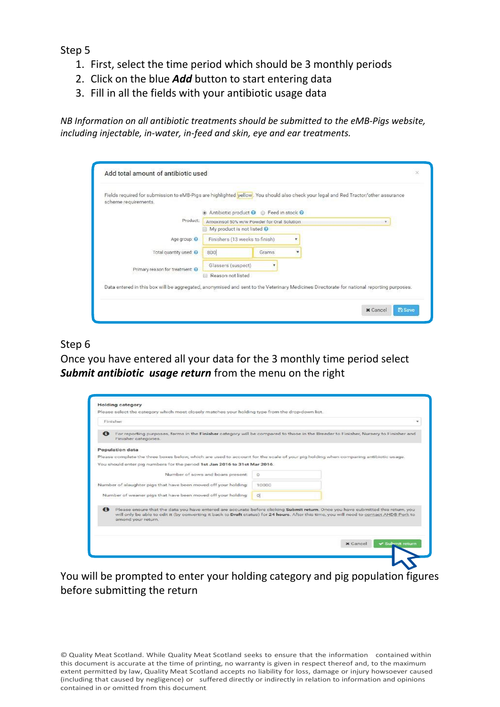Step 5

- 1. First, select the time period which should be 3 monthly periods
- 2. Click on the blue *Add* button to start entering data
- 3. Fill in all the fields with your antibiotic usage data

*NB Information on all antibiotic treatments should be submitted to the eMB-Pigs website, including injectable, in-water, in-feed and skin, eye and ear treatments.*

| Fields required for submission to eMB-Pigs are highlighted vellow. You should also check your legal and Red Tractor/other assurance<br>scheme requirements. |                                                 |       |  |  |  |
|-------------------------------------------------------------------------------------------------------------------------------------------------------------|-------------------------------------------------|-------|--|--|--|
|                                                                                                                                                             | Antibiotic product @ Feed in stock @            |       |  |  |  |
| Product:                                                                                                                                                    | Amoxinsol 50% w/w Powder for Oral Solution<br>× |       |  |  |  |
|                                                                                                                                                             | My product is not listed @                      |       |  |  |  |
| Age group: O                                                                                                                                                | Finishers (13 weeks to finish)                  |       |  |  |  |
| Total quantity used: @                                                                                                                                      | 800                                             | Grams |  |  |  |
| Primary reason for treatment                                                                                                                                | Glassers (suspect)                              |       |  |  |  |
|                                                                                                                                                             | Reason not listed                               |       |  |  |  |
| Data entered in this box will be aggregated, anonymised and sent to the Veterinary Medicines Directorate for national reporting purposes.                   |                                                 |       |  |  |  |

### Step 6

Once you have entered all your data for the 3 monthly time period select *Submit antibiotic usage return* from the menu on the right

| <b>Holding category</b><br>Please select the category which most closely matches your holding type from the drop-down list.                                                                                                                                                                                       |          |          |                        |
|-------------------------------------------------------------------------------------------------------------------------------------------------------------------------------------------------------------------------------------------------------------------------------------------------------------------|----------|----------|------------------------|
|                                                                                                                                                                                                                                                                                                                   |          |          |                        |
| Finisher                                                                                                                                                                                                                                                                                                          |          |          |                        |
| For reporting purposes, farms in the Finisher category will be compared to those in the Breeder to Finisher, Nursery to Finisher and<br>$\bullet$<br>Finisher categories.                                                                                                                                         |          |          |                        |
| Population data                                                                                                                                                                                                                                                                                                   |          |          |                        |
| Please complete the three boxes below, which are used to account for the scale of your pig holding when comparing antibiotic usage.                                                                                                                                                                               |          |          |                        |
| You should enter pig numbers for the period 1st Jan 2016 to 31st Mar 2016.                                                                                                                                                                                                                                        |          |          |                        |
| Number of sows and boars present:                                                                                                                                                                                                                                                                                 | $\Omega$ |          |                        |
| Number of slaughter pigs that have been moved off your holding.                                                                                                                                                                                                                                                   | 10000    |          |                        |
| Number of weaner pigs that have been moved off your holding:                                                                                                                                                                                                                                                      | Q        |          |                        |
| $\bullet$<br>Please ensure that the data you have entered are accurate before clicking Submit return. Once you have submitted this return, you<br>will only be able to edit it (by converting it back to Draft status) for 24 hours. After this time, you will need to contact AHDB Pork to<br>amend your return. |          |          |                        |
|                                                                                                                                                                                                                                                                                                                   |          |          |                        |
|                                                                                                                                                                                                                                                                                                                   |          | x Cancel | <b>√ Submit return</b> |
|                                                                                                                                                                                                                                                                                                                   |          |          |                        |

You will be prompted to enter your holding category and pig population figures before submitting the return